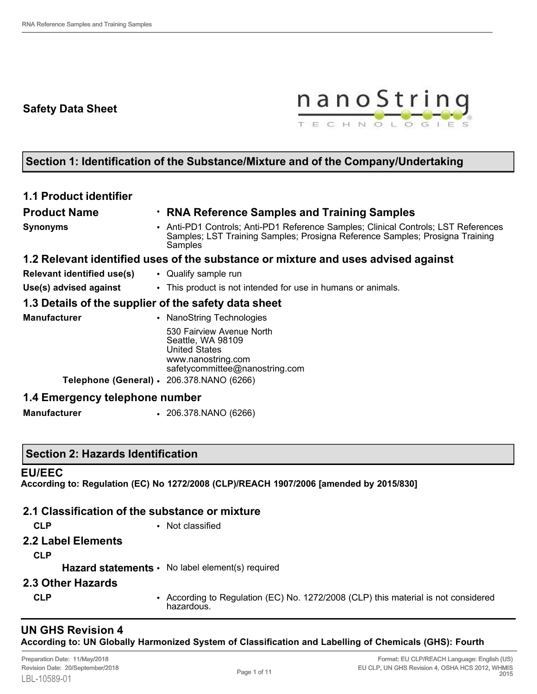## **Safety Data Sheet**



# **Section 1: Identification of the Substance/Mixture and of the Company/Undertaking**

| • RNA Reference Samples and Training Samples                                                                                                                                  |
|-------------------------------------------------------------------------------------------------------------------------------------------------------------------------------|
| • Anti-PD1 Controls; Anti-PD1 Reference Samples; Clinical Controls; LST References<br>Samples; LST Training Samples; Prosigna Reference Samples; Prosigna Training<br>Samples |
| 1.2 Relevant identified uses of the substance or mixture and uses advised against                                                                                             |
| • Qualify sample run                                                                                                                                                          |
| • This product is not intended for use in humans or animals.                                                                                                                  |
| 1.3 Details of the supplier of the safety data sheet                                                                                                                          |
| • NanoString Technologies                                                                                                                                                     |
| 530 Fairview Avenue North<br>Seattle, WA 98109<br><b>United States</b><br>www.nanostring.com<br>safetycommittee@nanostring.com                                                |
| Telephone (General) $\cdot$ 206.378.NANO (6266)                                                                                                                               |
| 1.4 Emergency telephone number                                                                                                                                                |
|                                                                                                                                                                               |

**Manufacturer** • 206.378.NANO (6266)

### **Section 2: Hazards Identification**

### **EU/EEC**

**According to: Regulation (EC) No 1272/2008 (CLP)/REACH 1907/2006 [amended by 2015/830]**

|                    | 2.1 Classification of the substance or mixture                                                   |
|--------------------|--------------------------------------------------------------------------------------------------|
| <b>CLP</b>         | • Not classified                                                                                 |
| 2.2 Label Elements |                                                                                                  |
| <b>CLP</b>         |                                                                                                  |
|                    | <b>Hazard statements •</b> No label element(s) required                                          |
| 2.3 Other Hazards  |                                                                                                  |
| <b>CLP</b>         | • According to Regulation (EC) No. 1272/2008 (CLP) this material is not considered<br>hazardous. |

### **UN GHS Revision 4 According to: UN Globally Harmonized System of Classification and Labelling of Chemicals (GHS): Fourth**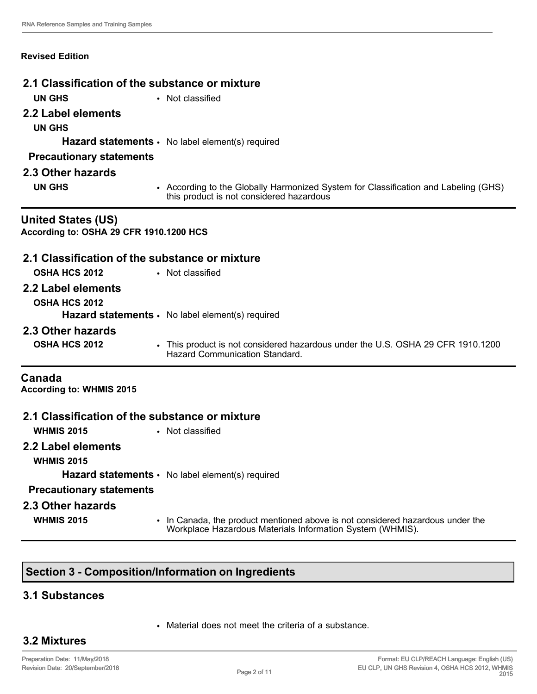#### **Revised Edition**

|                                                                      | 2.1 Classification of the substance or mixture                                                                                  |
|----------------------------------------------------------------------|---------------------------------------------------------------------------------------------------------------------------------|
| <b>UN GHS</b>                                                        | • Not classified                                                                                                                |
| 2.2 Label elements                                                   |                                                                                                                                 |
| <b>UN GHS</b>                                                        |                                                                                                                                 |
|                                                                      | Hazard statements · No label element(s) required                                                                                |
| <b>Precautionary statements</b>                                      |                                                                                                                                 |
| 2.3 Other hazards                                                    |                                                                                                                                 |
| <b>UN GHS</b>                                                        | • According to the Globally Harmonized System for Classification and Labeling (GHS)<br>this product is not considered hazardous |
| <b>United States (US)</b><br>According to: OSHA 29 CFR 1910.1200 HCS |                                                                                                                                 |
|                                                                      | 2.1 Classification of the substance or mixture                                                                                  |
| <b>OSHA HCS 2012</b>                                                 | • Not classified                                                                                                                |
| 2.2 Label elements                                                   |                                                                                                                                 |
| <b>OSHA HCS 2012</b>                                                 |                                                                                                                                 |
|                                                                      | <b>Hazard statements •</b> No label element(s) required                                                                         |
| 2.3 Other hazards                                                    |                                                                                                                                 |
| <b>OSHA HCS 2012</b>                                                 | • This product is not considered hazardous under the U.S. OSHA 29 CFR 1910.1200<br>Hazard Communication Standard.               |
| Canada<br><b>According to: WHMIS 2015</b>                            |                                                                                                                                 |
|                                                                      | 2.1 Classification of the substance or mixture                                                                                  |
| <b>WHMIS 2015</b>                                                    | • Not classified                                                                                                                |

**2.2 Label elements**

**WHMIS 2015**

**Hazard statements** • No label element(s) required

#### **Precautionary statements**

**2.3 Other hazards**

**WHMIS 2015** • In Canada, the product mentioned above is not considered hazardous under the Workplace Hazardous Materials Information System (WHMIS).

### **Section 3 - Composition/Information on Ingredients**

### **3.1 Substances**

• Material does not meet the criteria of a substance.

## **3.2 Mixtures**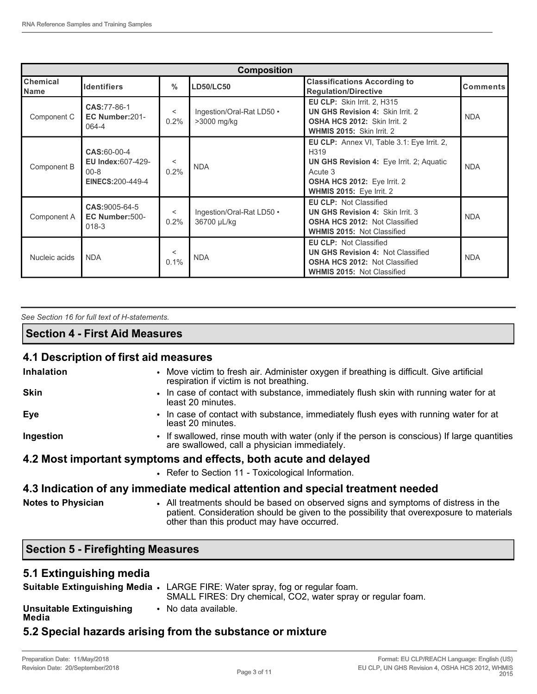| <b>Composition</b>      |                                                                                       |                 |                                          |                                                                                                                                                                                    |                 |
|-------------------------|---------------------------------------------------------------------------------------|-----------------|------------------------------------------|------------------------------------------------------------------------------------------------------------------------------------------------------------------------------------|-----------------|
| Chemical<br><b>Name</b> | <b>Identifiers</b>                                                                    | $\frac{0}{0}$   | <b>LD50/LC50</b>                         | <b>Classifications According to</b><br><b>Requlation/Directive</b>                                                                                                                 | <b>Comments</b> |
| Component C             | CAS: 77-86-1<br>EC Number: 201-<br>064-4                                              | $\,<\,$<br>0.2% | Ingestion/Oral-Rat LD50 .<br>>3000 mg/kg | <b>EU CLP:</b> Skin Irrit. 2, H315<br><b>UN GHS Revision 4: Skin Irrit. 2</b><br><b>OSHA HCS 2012: Skin Irrit. 2</b><br>WHMIS 2015: Skin Irrit. 2                                  | <b>NDA</b>      |
| Component B             | <b>CAS:60-00-4</b><br><b>EU Index:607-429-</b><br>$00 - 8$<br><b>EINECS:200-449-4</b> | $\,<\,$<br>0.2% | <b>NDA</b>                               | EU CLP: Annex VI, Table 3.1: Eye Irrit. 2,<br>H319<br><b>UN GHS Revision 4: Eye Irrit. 2; Aquatic</b><br>Acute 3<br><b>OSHA HCS 2012: Eye Irrit. 2</b><br>WHMIS 2015: Eye Irrit. 2 | <b>NDA</b>      |
| Component A             | CAS: 9005-64-5<br>EC Number:500-<br>$018-3$                                           | $\,<\,$<br>0.2% | Ingestion/Oral-Rat LD50 .<br>36700 µL/kg | <b>EU CLP: Not Classified</b><br><b>UN GHS Revision 4: Skin Irrit. 3</b><br><b>OSHA HCS 2012: Not Classified</b><br><b>WHMIS 2015: Not Classified</b>                              | <b>NDA</b>      |
| Nucleic acids           | <b>NDA</b>                                                                            | $\,<\,$<br>0.1% | <b>NDA</b>                               | <b>EU CLP: Not Classified</b><br><b>UN GHS Revision 4: Not Classified</b><br><b>OSHA HCS 2012: Not Classified</b><br><b>WHMIS 2015: Not Classified</b>                             | <b>NDA</b>      |

*See Section 16 for full text of H-statements.* 

#### **Section 4 - First Aid Measures**

### **4.1 Description of first aid measures**

| Inhalation                | • Move victim to fresh air. Administer oxygen if breathing is difficult. Give artificial<br>respiration if victim is not breathing.                                                                                          |
|---------------------------|------------------------------------------------------------------------------------------------------------------------------------------------------------------------------------------------------------------------------|
| <b>Skin</b>               | • In case of contact with substance, immediately flush skin with running water for at<br>least 20 minutes.                                                                                                                   |
| Eye                       | • In case of contact with substance, immediately flush eyes with running water for at<br>least 20 minutes.                                                                                                                   |
| Ingestion                 | • If swallowed, rinse mouth with water (only if the person is conscious) If large quantities<br>are swallowed, call a physician immediately.                                                                                 |
|                           | 4.2 Most important symptoms and effects, both acute and delayed                                                                                                                                                              |
|                           | • Refer to Section 11 - Toxicological Information.                                                                                                                                                                           |
|                           | 4.3 Indication of any immediate medical attention and special treatment needed                                                                                                                                               |
| <b>Notes to Physician</b> | • All treatments should be based on observed signs and symptoms of distress in the<br>patient. Consideration should be given to the possibility that overexposure to materials<br>other than this product may have occurred. |

# **Section 5 - Firefighting Measures**

### **5.1 Extinguishing media**

|                                   | Suitable Extinguishing Media • LARGE FIRE: Water spray, fog or regular foam. |
|-----------------------------------|------------------------------------------------------------------------------|
|                                   | SMALL FIRES: Dry chemical, CO2, water spray or regular foam.                 |
| Unsuitable Extinguishing<br>Media | • No data available.                                                         |
|                                   | 5.2 Special hazards arising from the substance or mixture                    |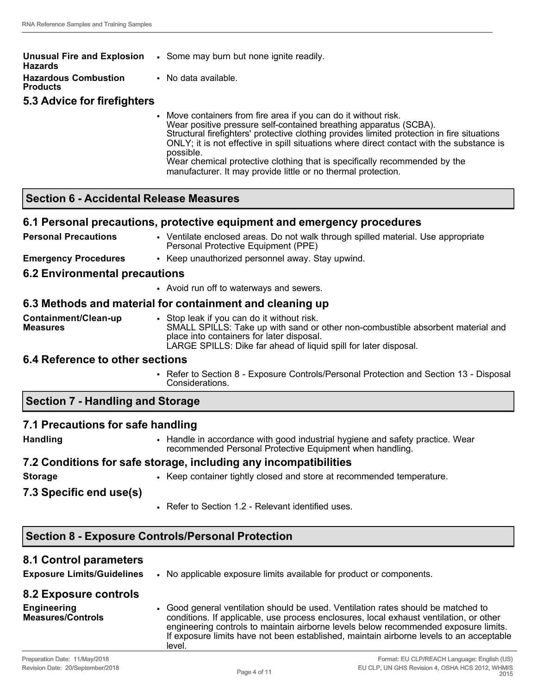| <b>Unusual Fire and Explosion</b><br>Hazards | • Some may burn but none ignite readily.                                                                                                                                                                                                                                                                                                                                                                                  |
|----------------------------------------------|---------------------------------------------------------------------------------------------------------------------------------------------------------------------------------------------------------------------------------------------------------------------------------------------------------------------------------------------------------------------------------------------------------------------------|
| <b>Hazardous Combustion</b><br>Products      | • No data available.                                                                                                                                                                                                                                                                                                                                                                                                      |
| <b>5.3 Advice for firefighters</b>           |                                                                                                                                                                                                                                                                                                                                                                                                                           |
|                                              | • Move containers from fire area if you can do it without risk.<br>Wear positive pressure self-contained breathing apparatus (SCBA).<br>Structural firefighters' protective clothing provides limited protection in fire situations<br>ONLY; it is not effective in spill situations where direct contact with the substance is<br>possible.<br>Wear chemical protective clothing that is specifically recommended by the |

manufacturer. It may provide little or no thermal protection.

### **Section 6 - Accidental Release Measures**

#### **6.1 Personal precautions, protective equipment and emergency procedures**

**Personal Precautions • Ventilate enclosed areas. Do not walk through spilled material. Use appropriate** Personal Protective Equipment (PPE) **Emergency Procedures** • Keep unauthorized personnel away. Stay upwind.

#### **6.2 Environmental precautions**

• Avoid run off to waterways and sewers.

#### **6.3 Methods and material for containment and cleaning up**

**Containment/Clean-up Measures** Stop leak if you can do it without risk. SMALL SPILLS: Take up with sand or other non-combustible absorbent material and place into containers for later disposal. LARGE SPILLS: Dike far ahead of liquid spill for later disposal.

#### **6.4 Reference to other sections**

• Refer to Section 8 - Exposure Controls/Personal Protection and Section 13 - Disposal Considerations.

## **Section 7 - Handling and Storage**

#### **7.1 Precautions for safe handling**

- 
- **Handling •** Handle in accordance with good industrial hygiene and safety practice. Wear recommended Personal Protective Equipment when handling.

### **7.2 Conditions for safe storage, including any incompatibilities**

**Storage** • **Example 20 • Keep container tightly closed and store at recommended temperature.** 

**7.3 Specific end use(s)**

• Refer to Section 1.2 - Relevant identified uses.

## **Section 8 - Exposure Controls/Personal Protection**

### **8.1 Control parameters**

**Exposure Limits/Guidelines** • No applicable exposure limits available for product or components.

| 8.2 Exposure controls                          |                                                                                                                                                                                                                                                                                                                                                                         |
|------------------------------------------------|-------------------------------------------------------------------------------------------------------------------------------------------------------------------------------------------------------------------------------------------------------------------------------------------------------------------------------------------------------------------------|
| <b>Engineering</b><br><b>Measures/Controls</b> | • Good general ventilation should be used. Ventilation rates should be matched to<br>conditions. If applicable, use process enclosures, local exhaust ventilation, or other<br>engineering controls to maintain airborne levels below recommended exposure limits.<br>If exposure limits have not been established, maintain airborne levels to an acceptable<br>level. |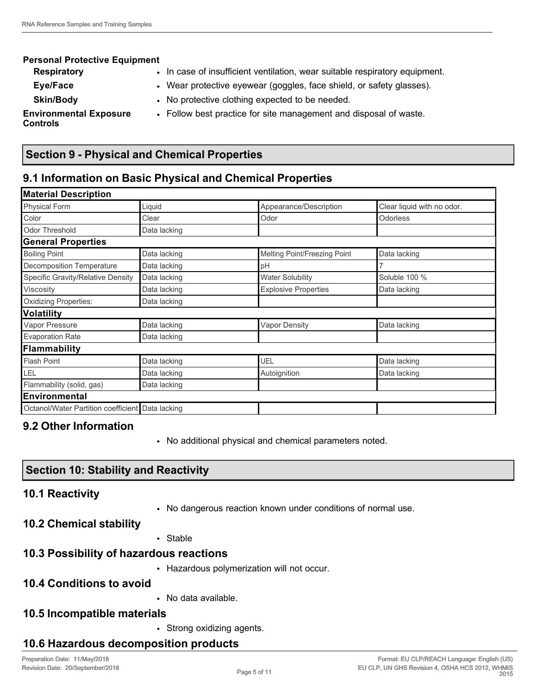#### **Personal Protective Equipment Respiratory • In case of insufficient ventilation, wear suitable respiratory equipment. Eye/Face** • **•** Wear protective eyewear (goggles, face shield, or safety glasses). **Skin/Body** • No protective clothing expected to be needed. **Environmental Exposure Controls** • Follow best practice for site management and disposal of waste.

# **Section 9 - Physical and Chemical Properties**

# **9.1 Information on Basic Physical and Chemical Properties**

| <b>Material Description</b>                      |              |                              |                            |  |
|--------------------------------------------------|--------------|------------------------------|----------------------------|--|
| Physical Form                                    | Liquid       | Appearance/Description       | Clear liquid with no odor. |  |
| Color                                            | Clear        | Odor                         | <b>Odorless</b>            |  |
| <b>Odor Threshold</b>                            | Data lacking |                              |                            |  |
| <b>General Properties</b>                        |              |                              |                            |  |
| <b>Boiling Point</b>                             | Data lacking | Melting Point/Freezing Point | Data lacking               |  |
| Decomposition Temperature                        | Data lacking | pH                           | 7                          |  |
| Specific Gravity/Relative Density                | Data lacking | <b>Water Solubility</b>      | Soluble 100 %              |  |
| Viscosity                                        | Data lacking | <b>Explosive Properties</b>  | Data lacking               |  |
| Oxidizing Properties:                            | Data lacking |                              |                            |  |
| <b>Volatility</b>                                |              |                              |                            |  |
| Vapor Pressure                                   | Data lacking | <b>Vapor Density</b>         | Data lacking               |  |
| <b>Evaporation Rate</b>                          | Data lacking |                              |                            |  |
| Flammability                                     |              |                              |                            |  |
| <b>Flash Point</b>                               | Data lacking | UEL                          | Data lacking               |  |
| LEL                                              | Data lacking | Autoignition                 | Data lacking               |  |
| Flammability (solid, gas)                        | Data lacking |                              |                            |  |
| <b>Environmental</b>                             |              |                              |                            |  |
| Octanol/Water Partition coefficient Data lacking |              |                              |                            |  |

# **9.2 Other Information**

• No additional physical and chemical parameters noted.

# **Section 10: Stability and Reactivity**

# **10.1 Reactivity**

• No dangerous reaction known under conditions of normal use.

# **10.2 Chemical stability**

• Stable

# **10.3 Possibility of hazardous reactions**

• Hazardous polymerization will not occur.

# **10.4 Conditions to avoid**

• No data available.

# **10.5 Incompatible materials**

• Strong oxidizing agents.

# **10.6 Hazardous decomposition products**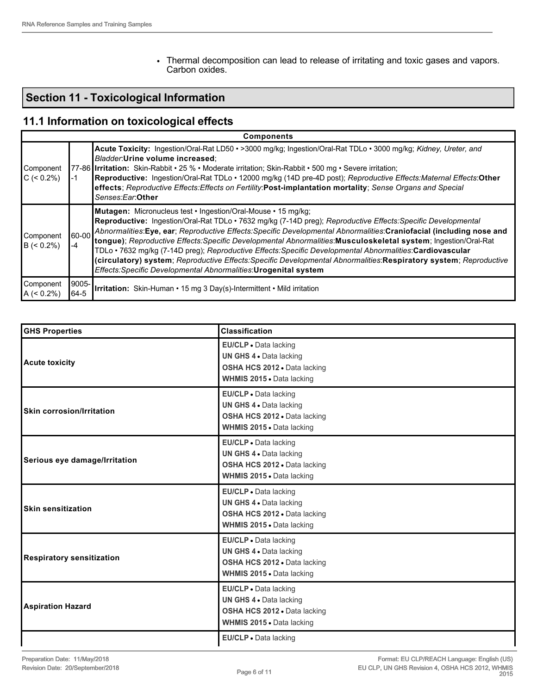• Thermal decomposition can lead to release of irritating and toxic gases and vapors. Carbon oxides.

# **Section 11 - Toxicological Information**

# **11.1 Information on toxicological effects**

|                            | <b>Components</b> |                                                                                                                                                                                                                                                                                                                                                                                                                                                                                                                                                                                                                                                                                                                                           |  |  |  |
|----------------------------|-------------------|-------------------------------------------------------------------------------------------------------------------------------------------------------------------------------------------------------------------------------------------------------------------------------------------------------------------------------------------------------------------------------------------------------------------------------------------------------------------------------------------------------------------------------------------------------------------------------------------------------------------------------------------------------------------------------------------------------------------------------------------|--|--|--|
| Component<br>$C \le 0.2\%$ | -1                | Acute Toxicity: Ingestion/Oral-Rat LD50 · >3000 mg/kg; Ingestion/Oral-Rat TDLo · 3000 mg/kg; Kidney, Ureter, and<br>Bladder: Urine volume increased;<br>77-86 Irritation: Skin-Rabbit • 25 % • Moderate irritation; Skin-Rabbit • 500 mg • Severe irritation;<br>Reproductive: Ingestion/Oral-Rat TDLo · 12000 mg/kg (14D pre-4D post); Reproductive Effects:Maternal Effects:Other<br>effects; Reproductive Effects: Effects on Fertility: Post-implantation mortality; Sense Organs and Special<br>Senses:Ear:Other                                                                                                                                                                                                                     |  |  |  |
| Component<br>$B \le 0.2\%$ | $60 - 00$<br>-4   | <b>Mutagen:</b> Micronucleus test • Ingestion/Oral-Mouse • 15 mg/kg;<br>Reproductive: Ingestion/Oral-Rat TDLo · 7632 mg/kg (7-14D preg); Reproductive Effects: Specific Developmental<br>Abnormalities: Eye, ear; Reproductive Effects: Specific Developmental Abnormalities: Craniofacial (including nose and<br>tongue); Reproductive Effects: Specific Developmental Abnormalities: Musculoskeletal system; Ingestion/Oral-Rat<br>TDLo • 7632 mg/kg (7-14D preg); Reproductive Effects: Specific Developmental Abnormalities: Cardiovascular<br>(circulatory) system; Reproductive Effects: Specific Developmental Abnormalities: Respiratory system; Reproductive<br>Effects: Specific Developmental Abnormalities: Urogenital system |  |  |  |
| Component<br>$A (< 0.2\%)$ | $9005 -$<br>64-5  | Irritation: Skin-Human • 15 mg 3 Day(s)-Intermittent • Mild irritation                                                                                                                                                                                                                                                                                                                                                                                                                                                                                                                                                                                                                                                                    |  |  |  |

| <b>GHS Properties</b>            | <b>Classification</b>                                                                                                       |
|----------------------------------|-----------------------------------------------------------------------------------------------------------------------------|
| <b>Acute toxicity</b>            | EU/CLP · Data lacking<br>UN GHS 4 . Data lacking<br>OSHA HCS 2012 . Data lacking<br>WHMIS 2015 . Data lacking               |
| <b>Skin corrosion/Irritation</b> | EU/CLP · Data lacking<br>UN GHS 4 . Data lacking<br>OSHA HCS 2012 . Data lacking<br>WHMIS 2015 • Data lacking               |
| Serious eye damage/Irritation    | EU/CLP . Data lacking<br><b>UN GHS 4 . Data lacking</b><br>OSHA HCS 2012 . Data lacking<br><b>WHMIS 2015 • Data lacking</b> |
| <b>Skin sensitization</b>        | EU/CLP · Data lacking<br>UN GHS 4 . Data lacking<br>OSHA HCS 2012 . Data lacking<br>WHMIS 2015 . Data lacking               |
| <b>Respiratory sensitization</b> | EU/CLP · Data lacking<br>UN GHS 4 . Data lacking<br>OSHA HCS 2012 . Data lacking<br>WHMIS 2015 • Data lacking               |
| <b>Aspiration Hazard</b>         | EU/CLP . Data lacking<br>UN GHS 4 . Data lacking<br>OSHA HCS 2012 . Data lacking<br>WHMIS 2015 . Data lacking               |
|                                  | EU/CLP · Data lacking                                                                                                       |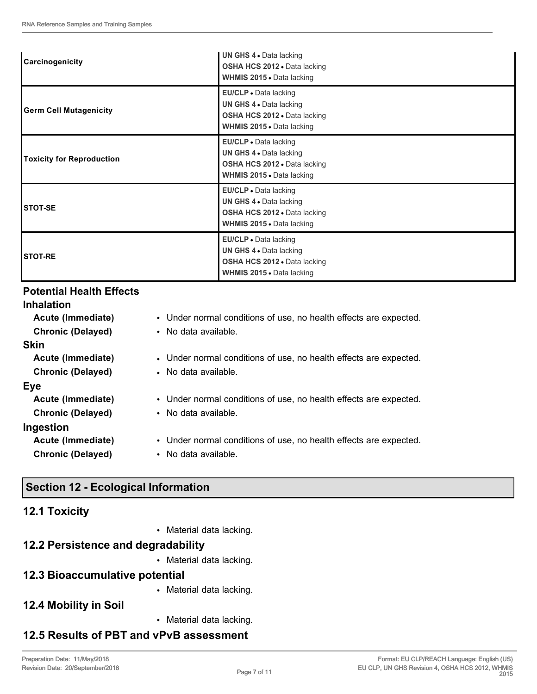| <b>Carcinogenicity</b>           | <b>UN GHS 4 • Data lacking</b><br>OSHA HCS 2012 . Data lacking<br>WHMIS 2015 . Data lacking                          |
|----------------------------------|----------------------------------------------------------------------------------------------------------------------|
| <b>Germ Cell Mutagenicity</b>    | EU/CLP . Data lacking<br>UN GHS 4 . Data lacking<br>OSHA HCS 2012 . Data lacking<br>WHMIS 2015 . Data lacking        |
| <b>Toxicity for Reproduction</b> | <b>EU/CLP</b> • Data lacking<br>UN GHS 4 . Data lacking<br>OSHA HCS 2012 . Data lacking<br>WHMIS 2015 . Data lacking |
| <b>STOT-SE</b>                   | EU/CLP . Data lacking<br>UN GHS 4 . Data lacking<br>OSHA HCS 2012 · Data lacking<br>WHMIS 2015 . Data lacking        |
| <b>STOT-RE</b>                   | EU/CLP . Data lacking<br>UN GHS 4 . Data lacking<br>OSHA HCS 2012 . Data lacking<br>WHMIS 2015 . Data lacking        |

## **Potential Health Effects**

| <b>Inhalation</b>        |                                                                   |
|--------------------------|-------------------------------------------------------------------|
| Acute (Immediate)        | • Under normal conditions of use, no health effects are expected. |
| <b>Chronic (Delayed)</b> | • No data available.                                              |
| <b>Skin</b>              |                                                                   |
| Acute (Immediate)        | • Under normal conditions of use, no health effects are expected. |
| <b>Chronic (Delayed)</b> | • No data available.                                              |
| Eye                      |                                                                   |
| Acute (Immediate)        | • Under normal conditions of use, no health effects are expected. |
| <b>Chronic (Delayed)</b> | • No data available.                                              |
| Ingestion                |                                                                   |
| Acute (Immediate)        | • Under normal conditions of use, no health effects are expected. |
| <b>Chronic (Delayed)</b> | • No data available.                                              |
|                          |                                                                   |
|                          |                                                                   |

# **Section 12 - Ecological Information**

## **12.1 Toxicity**

• Material data lacking.

# **12.2 Persistence and degradability**

• Material data lacking.

# **12.3 Bioaccumulative potential**

• Material data lacking.

# **12.4 Mobility in Soil**

• Material data lacking.

# **12.5 Results of PBT and vPvB assessment**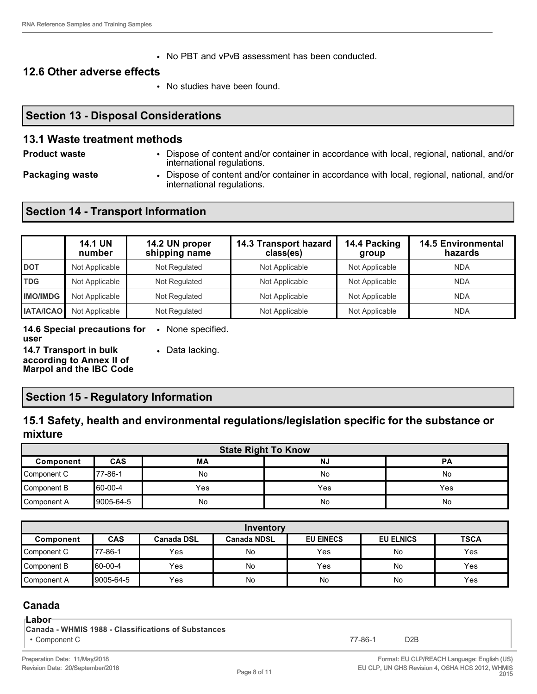• No PBT and vPvB assessment has been conducted.

#### **12.6 Other adverse effects**

• No studies have been found.

### **Section 13 - Disposal Considerations**

#### **13.1 Waste treatment methods**

- **Product waste** Dispose of content and/or container in accordance with local, regional, national, and/or international regulations.
- 
- **Packaging waste Dispose of content and/or container in accordance with local, regional, national, and/or** international regulations.

## **Section 14 - Transport Information**

|                  | <b>14.1 UN</b><br>number | 14.2 UN proper<br>shipping name | 14.3 Transport hazard<br>class(es) | 14.4 Packing<br>group | <b>14.5 Environmental</b><br>hazards |
|------------------|--------------------------|---------------------------------|------------------------------------|-----------------------|--------------------------------------|
| <b>DOT</b>       | Not Applicable           | Not Regulated                   | Not Applicable                     | Not Applicable        | <b>NDA</b>                           |
| <b>TDG</b>       | Not Applicable           | Not Regulated                   | Not Applicable                     | Not Applicable        | <b>NDA</b>                           |
| <b>IMO/IMDG</b>  | Not Applicable           | Not Regulated                   | Not Applicable                     | Not Applicable        | <b>NDA</b>                           |
| <b>IATA/ICAO</b> | Not Applicable           | Not Regulated                   | Not Applicable                     | Not Applicable        | <b>NDA</b>                           |

**14.6 Special precautions for**  • None specified. **user**

**14.7 Transport in bulk according to Annex II of** 

• Data lacking.

**Marpol and the IBC Code**

### **Section 15 - Regulatory Information**

## **15.1 Safety, health and environmental regulations/legislation specific for the substance or mixture**

| <b>State Right To Know</b> |            |           |           |           |
|----------------------------|------------|-----------|-----------|-----------|
| Component                  | <b>CAS</b> | <b>MA</b> | <b>NJ</b> | <b>PA</b> |
| Component C                | 77-86-1    | No        | No        | No        |
| Component B                | 60-00-4    | Yes       | Yes       | Yes       |
| Component A                | 9005-64-5  | No        | No        | No        |

| Inventory   |               |                   |                    |                  |                  |             |
|-------------|---------------|-------------------|--------------------|------------------|------------------|-------------|
| Component   | <b>CAS</b>    | <b>Canada DSL</b> | <b>Canada NDSL</b> | <b>EU EINECS</b> | <b>EU ELNICS</b> | <b>TSCA</b> |
| Component C | $77 - 86 - 1$ | <b>Yes</b>        | No                 | Yes              | No               | Yes         |
| Component B | 60-00-4       | Yes               | No                 | Yes              | No               | Yes         |
| Component A | 9005-64-5     | Yes               | No                 | No               | No               | Yes         |

## **Canada**

#### **Labor**

**Canada - WHMIS 1988 - Classifications of Substances**

• Component C 77-86-1 D2B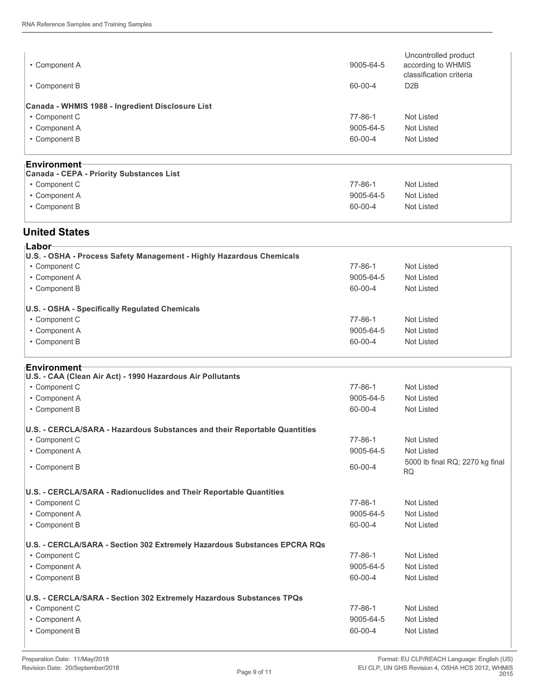| • Component A                                    | 9005-64-5                         | Uncontrolled product<br>according to WHMIS<br>classification criteria |  |
|--------------------------------------------------|-----------------------------------|-----------------------------------------------------------------------|--|
| • Component B                                    | 60-00-4                           | D <sub>2</sub> B                                                      |  |
| Canada - WHMIS 1988 - Ingredient Disclosure List |                                   |                                                                       |  |
| • Component C                                    | $77 - 86 - 1$                     | Not Listed                                                            |  |
| • Component A                                    | 9005-64-5                         | <b>Not Listed</b>                                                     |  |
| • Component B                                    | 60-00-4                           | Not Listed                                                            |  |
|                                                  |                                   |                                                                       |  |
| ⊦Environment                                     |                                   |                                                                       |  |
| <b>Canada - CEPA - Priority Substances List</b>  |                                   |                                                                       |  |
| • Component C                                    | $77 - 86 - 1$                     | Not Listed                                                            |  |
| Companied                                        | $\triangle ODE$ $\triangle A$ $E$ | $N_{\alpha+1}$ $A_{\alpha+2}$                                         |  |

| • Component A | 9005-64-5 | <b>Not Listed</b> |
|---------------|-----------|-------------------|
| • Component B | 60-00-4   | <b>Not Listed</b> |

### **United States**

| ⊦Labor                                                               |               |            |  |
|----------------------------------------------------------------------|---------------|------------|--|
| U.S. - OSHA - Process Safety Management - Highly Hazardous Chemicals |               |            |  |
| • Component C                                                        | 77-86-1       | Not Listed |  |
| • Component A                                                        | 9005-64-5     | Not Listed |  |
| • Component B                                                        | 60-00-4       | Not Listed |  |
| U.S. - OSHA - Specifically Regulated Chemicals                       |               |            |  |
| • Component C                                                        | $77 - 86 - 1$ | Not Listed |  |
| • Component A                                                        | 9005-64-5     | Not Listed |  |
| • Component B                                                        | 60-00-4       | Not Listed |  |
|                                                                      |               |            |  |

#### **Environment**

| U.S. - CAA (Clean Air Act) - 1990 Hazardous Air Pollutants                |               |                                              |
|---------------------------------------------------------------------------|---------------|----------------------------------------------|
| • Component C                                                             | $77 - 86 - 1$ | <b>Not Listed</b>                            |
| • Component A                                                             | 9005-64-5     | <b>Not Listed</b>                            |
| • Component B                                                             | 60-00-4       | <b>Not Listed</b>                            |
| U.S. - CERCLA/SARA - Hazardous Substances and their Reportable Quantities |               |                                              |
| • Component C                                                             | $77 - 86 - 1$ | Not Listed                                   |
| • Component A                                                             | 9005-64-5     | <b>Not Listed</b>                            |
| • Component B                                                             | 60-00-4       | 5000 lb final RQ; 2270 kg final<br><b>RQ</b> |
| U.S. - CERCLA/SARA - Radionuclides and Their Reportable Quantities        |               |                                              |
| • Component C                                                             | $77 - 86 - 1$ | Not Listed                                   |
| • Component A                                                             | 9005-64-5     | <b>Not Listed</b>                            |
| • Component B                                                             | 60-00-4       | <b>Not Listed</b>                            |
| U.S. - CERCLA/SARA - Section 302 Extremely Hazardous Substances EPCRA RQs |               |                                              |
| • Component C                                                             | $77 - 86 - 1$ | Not Listed                                   |
| • Component A                                                             | 9005-64-5     | <b>Not Listed</b>                            |
| • Component B                                                             | 60-00-4       | <b>Not Listed</b>                            |
| U.S. - CERCLA/SARA - Section 302 Extremely Hazardous Substances TPQs      |               |                                              |
| • Component C                                                             | $77 - 86 - 1$ | <b>Not Listed</b>                            |
| • Component A                                                             | 9005-64-5     | <b>Not Listed</b>                            |
| • Component B                                                             | 60-00-4       | <b>Not Listed</b>                            |

**I**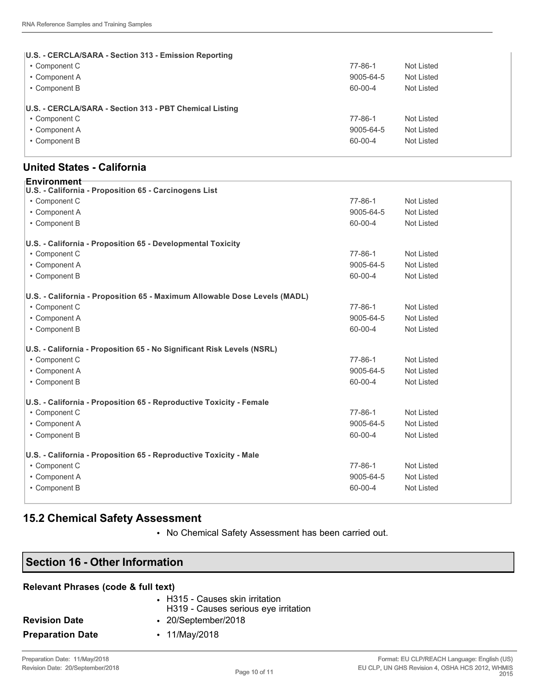| U.S. - CERCLA/SARA - Section 313 - Emission Reporting   |               |            |
|---------------------------------------------------------|---------------|------------|
| • Component C                                           | $77 - 86 - 1$ | Not Listed |
| • Component A                                           | 9005-64-5     | Not Listed |
| • Component B                                           | 60-00-4       | Not Listed |
| U.S. - CERCLA/SARA - Section 313 - PBT Chemical Listing |               |            |
| • Component C                                           | 77-86-1       | Not Listed |
| • Component A                                           | 9005-64-5     | Not Listed |
| • Component B                                           | 60-00-4       | Not Listed |
|                                                         |               |            |

#### **United States - California**

| <b>Environment</b> ⊤                                                      |               |                   |
|---------------------------------------------------------------------------|---------------|-------------------|
| U.S. - California - Proposition 65 - Carcinogens List                     |               |                   |
| • Component C                                                             | 77-86-1       | <b>Not Listed</b> |
| • Component A                                                             | 9005-64-5     | <b>Not Listed</b> |
| • Component B                                                             | 60-00-4       | <b>Not Listed</b> |
| U.S. - California - Proposition 65 - Developmental Toxicity               |               |                   |
| • Component C                                                             | $77 - 86 - 1$ | <b>Not Listed</b> |
| • Component A                                                             | 9005-64-5     | <b>Not Listed</b> |
| • Component B                                                             | 60-00-4       | <b>Not Listed</b> |
| U.S. - California - Proposition 65 - Maximum Allowable Dose Levels (MADL) |               |                   |
| • Component C                                                             | $77 - 86 - 1$ | <b>Not Listed</b> |
| • Component A                                                             | 9005-64-5     | <b>Not Listed</b> |
| • Component B                                                             | 60-00-4       | <b>Not Listed</b> |
| U.S. - California - Proposition 65 - No Significant Risk Levels (NSRL)    |               |                   |
| • Component C                                                             | 77-86-1       | <b>Not Listed</b> |
| • Component A                                                             | 9005-64-5     | <b>Not Listed</b> |
| • Component B                                                             | 60-00-4       | <b>Not Listed</b> |
| U.S. - California - Proposition 65 - Reproductive Toxicity - Female       |               |                   |
| • Component C                                                             | $77 - 86 - 1$ | <b>Not Listed</b> |
| • Component A                                                             | 9005-64-5     | <b>Not Listed</b> |
| • Component B                                                             | 60-00-4       | <b>Not Listed</b> |
| U.S. - California - Proposition 65 - Reproductive Toxicity - Male         |               |                   |
| • Component C                                                             | $77 - 86 - 1$ | <b>Not Listed</b> |
| • Component A                                                             | 9005-64-5     | <b>Not Listed</b> |
| • Component B                                                             | 60-00-4       | Not Listed        |
|                                                                           |               |                   |

## **15.2 Chemical Safety Assessment**

• No Chemical Safety Assessment has been carried out.

# **Section 16 - Other Information**

#### **Relevant Phrases (code & full text)**

|                         | • H315 - Causes skin irritation<br>H319 - Causes serious eye irritation |
|-------------------------|-------------------------------------------------------------------------|
| <b>Revision Date</b>    | $\cdot$ 20/September/2018                                               |
| <b>Preparation Date</b> | • 11/May/2018                                                           |